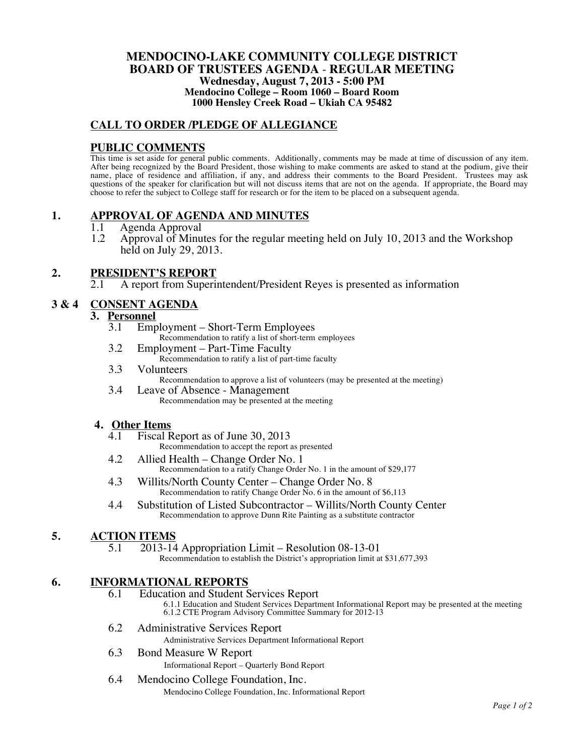#### **MENDOCINO-LAKE COMMUNITY COLLEGE DISTRICT BOARD OF TRUSTEES AGENDA** - **REGULAR MEETING Wednesday, August 7, 2013 - 5:00 PM Mendocino College – Room 1060 – Board Room 1000 Hensley Creek Road – Ukiah CA 95482**

#### **CALL TO ORDER /PLEDGE OF ALLEGIANCE**

#### **PUBLIC COMMENTS**

This time is set aside for general public comments. Additionally, comments may be made at time of discussion of any item. After being recognized by the Board President, those wishing to make comments are asked to stand at the podium, give their name, place of residence and affiliation, if any, and address their comments to the Board President. Trustees may ask questions of the speaker for clarification but will not discuss items that are not on the agenda. If appropriate, the Board may choose to refer the subject to College staff for research or for the item to be placed on a subsequent agenda.

#### **1. APPROVAL OF AGENDA AND MINUTES**

- 1.1 Agenda Approval
- 1.2 Approval of Minutes for the regular meeting held on July 10, 2013 and the Workshop held on July 29, 2013.

#### **2. PRESIDENT'S REPORT**

2.1 A report from Superintendent/President Reyes is presented as information

### **3 & 4 CONSENT AGENDA**

## **3.** <u>Personnel</u><br> **3.1** Emp

Employment – Short-Term Employees

Recommendation to ratify a list of short-term employees

- 3.2 Employment Part-Time Faculty Recommendation to ratify a list of part-time faculty
- 3.3 Volunteers
	- Recommendation to approve a list of volunteers (may be presented at the meeting)
- 3.4 Leave of Absence Management Recommendation may be presented at the meeting

## **4. Other Items**

- Fiscal Report as of June 30, 2013 Recommendation to accept the report as presented
- 4.2 Allied Health Change Order No. 1 Recommendation to a ratify Change Order No. 1 in the amount of \$29,177
- 4.3 Willits/North County Center Change Order No. 8 Recommendation to ratify Change Order No. 6 in the amount of \$6,113
- 4.4 Substitution of Listed Subcontractor Willits/North County Center Recommendation to approve Dunn Rite Painting as a substitute contractor

#### **5. ACTION ITEMS**

- 5.1 2013-14 Appropriation Limit Resolution 08-13-01
	- Recommendation to establish the District's appropriation limit at \$31,677,393

### **6. INFORMATIONAL REPORTS**

6.1 Education and Student Services Report

6.1.1 Education and Student Services Department Informational Report may be presented at the meeting 6.1.2 CTE Program Advisory Committee Summary for 2012-13

6.2 Administrative Services Report Administrative Services Department Informational Report

### 6.3 Bond Measure W Report

Informational Report – Quarterly Bond Report

#### 6.4 Mendocino College Foundation, Inc. Mendocino College Foundation, Inc. Informational Report